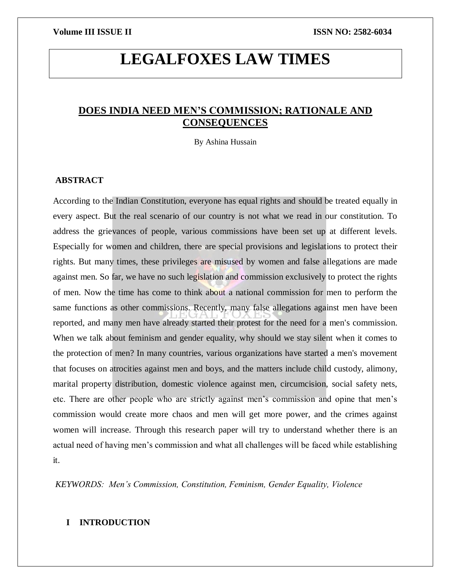# **LEGALFOXES LAW TIMES**

# **DOES INDIA NEED MEN'S COMMISSION; RATIONALE AND CONSEQUENCES**

By Ashina Hussain

# **ABSTRACT**

According to the Indian Constitution, everyone has equal rights and should be treated equally in every aspect. But the real scenario of our country is not what we read in our constitution. To address the grievances of people, various commissions have been set up at different levels. Especially for women and children, there are special provisions and legislations to protect their rights. But many times, these privileges are misused by women and false allegations are made against men. So far, we have no such legislation and commission exclusively to protect the rights of men. Now the time has come to think about a national commission for men to perform the same functions as other commissions. Recently, many false allegations against men have been reported, and many men have already started their protest for the need for a men's commission. When we talk about feminism and gender equality, why should we stay silent when it comes to the protection of men? In many countries, various organizations have started a men's movement that focuses on atrocities against men and boys, and the matters include child custody, alimony, marital property distribution, domestic violence against men, circumcision, social safety nets, etc. There are other people who are strictly against men's commission and opine that men's commission would create more chaos and men will get more power, and the crimes against women will increase. Through this research paper will try to understand whether there is an actual need of having men's commission and what all challenges will be faced while establishing it.

*KEYWORDS: Men's Commission, Constitution, Feminism, Gender Equality, Violence*

# **I INTRODUCTION**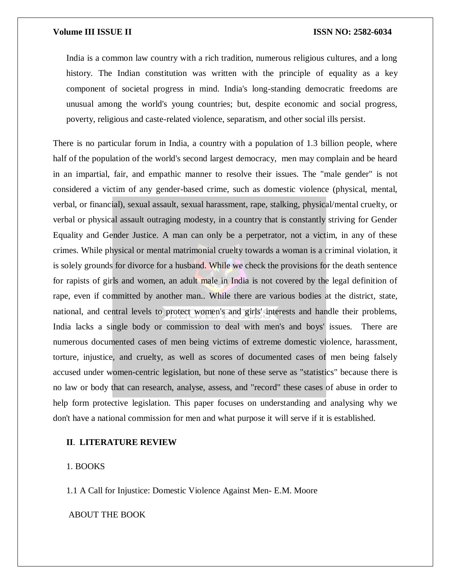India is a common law country with a rich tradition, numerous religious cultures, and a long history. The Indian constitution was written with the principle of equality as a key component of societal progress in mind. India's long-standing democratic freedoms are unusual among the world's young countries; but, despite economic and social progress, poverty, religious and caste-related violence, separatism, and other social ills persist.

There is no particular forum in India, a country with a population of 1.3 billion people, where half of the population of the world's second largest democracy, men may complain and be heard in an impartial, fair, and empathic manner to resolve their issues. The "male gender" is not considered a victim of any gender-based crime, such as domestic violence (physical, mental, verbal, or financial), sexual assault, sexual harassment, rape, stalking, physical/mental cruelty, or verbal or physical assault outraging modesty, in a country that is constantly striving for Gender Equality and Gender Justice. A man can only be a perpetrator, not a victim, in any of these crimes. While physical or mental matrimonial cruelty towards a woman is a criminal violation, it is solely grounds for divorce for a husband. While we check the provisions for the death sentence for rapists of girls and women, an adult male in India is not covered by the legal definition of rape, even if committed by another man.. While there are various bodies at the district, state, national, and central levels to protect women's and girls' interests and handle their problems, India lacks a single body or commission to deal with men's and boys' issues. There are numerous documented cases of men being victims of extreme domestic violence, harassment, torture, injustice, and cruelty, as well as scores of documented cases of men being falsely accused under women-centric legislation, but none of these serve as "statistics" because there is no law or body that can research, analyse, assess, and "record" these cases of abuse in order to help form protective legislation. This paper focuses on understanding and analysing why we don't have a national commission for men and what purpose it will serve if it is established.

## **II**. **LITERATURE REVIEW**

# 1. BOOKS

1.1 A Call for Injustice: Domestic Violence Against Men- E.M. Moore

ABOUT THE BOOK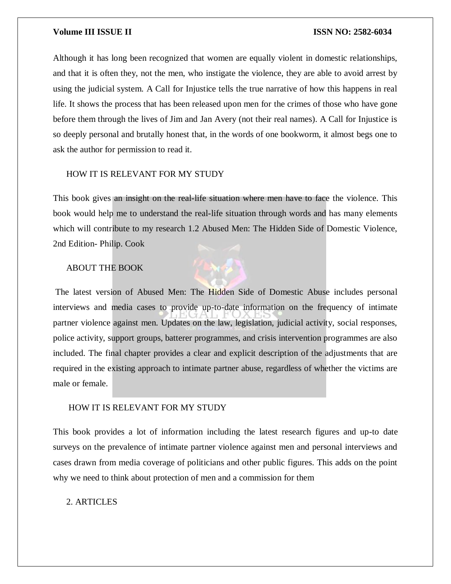Although it has long been recognized that women are equally violent in domestic relationships, and that it is often they, not the men, who instigate the violence, they are able to avoid arrest by using the judicial system. A Call for Injustice tells the true narrative of how this happens in real life. It shows the process that has been released upon men for the crimes of those who have gone before them through the lives of Jim and Jan Avery (not their real names). A Call for Injustice is so deeply personal and brutally honest that, in the words of one bookworm, it almost begs one to ask the author for permission to read it.

# HOW IT IS RELEVANT FOR MY STUDY

This book gives an insight on the real-life situation where men have to face the violence. This book would help me to understand the real-life situation through words and has many elements which will contribute to my research 1.2 Abused Men: The Hidden Side of Domestic Violence, 2nd Edition- Philip. Cook

# ABOUT THE BOOK



### HOW IT IS RELEVANT FOR MY STUDY

This book provides a lot of information including the latest research figures and up-to date surveys on the prevalence of intimate partner violence against men and personal interviews and cases drawn from media coverage of politicians and other public figures. This adds on the point why we need to think about protection of men and a commission for them

# 2. ARTICLES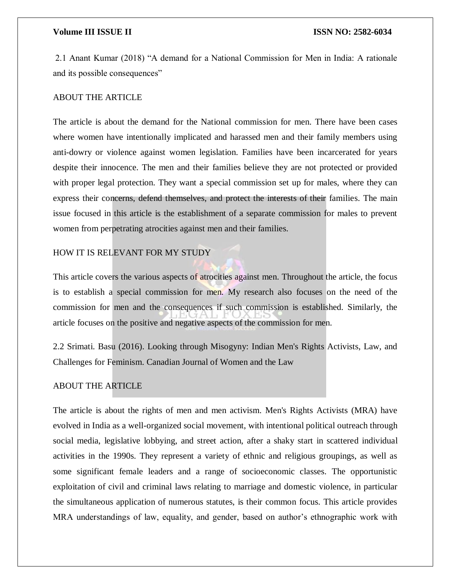2.1 Anant Kumar (2018) "A demand for a National Commission for Men in India: A rationale and its possible consequences"

# ABOUT THE ARTICLE

The article is about the demand for the National commission for men. There have been cases where women have intentionally implicated and harassed men and their family members using anti-dowry or violence against women legislation. Families have been incarcerated for years despite their innocence. The men and their families believe they are not protected or provided with proper legal protection. They want a special commission set up for males, where they can express their concerns, defend themselves, and protect the interests of their families. The main issue focused in this article is the establishment of a separate commission for males to prevent women from perpetrating atrocities against men and their families.

# HOW IT IS RELEVANT FOR MY STUDY

This article covers the various aspects of atrocities against men. Throughout the article, the focus is to establish a special commission for men. My research also focuses on the need of the commission for men and the consequences if such commission is established. Similarly, the article focuses on the positive and negative aspects of the commission for men.

2.2 Srimati. Basu (2016). Looking through Misogyny: Indian Men's Rights Activists, Law, and Challenges for Feminism. Canadian Journal of Women and the Law

# ABOUT THE ARTICLE

The article is about the rights of men and men activism. Men's Rights Activists (MRA) have evolved in India as a well-organized social movement, with intentional political outreach through social media, legislative lobbying, and street action, after a shaky start in scattered individual activities in the 1990s. They represent a variety of ethnic and religious groupings, as well as some significant female leaders and a range of socioeconomic classes. The opportunistic exploitation of civil and criminal laws relating to marriage and domestic violence, in particular the simultaneous application of numerous statutes, is their common focus. This article provides MRA understandings of law, equality, and gender, based on author's ethnographic work with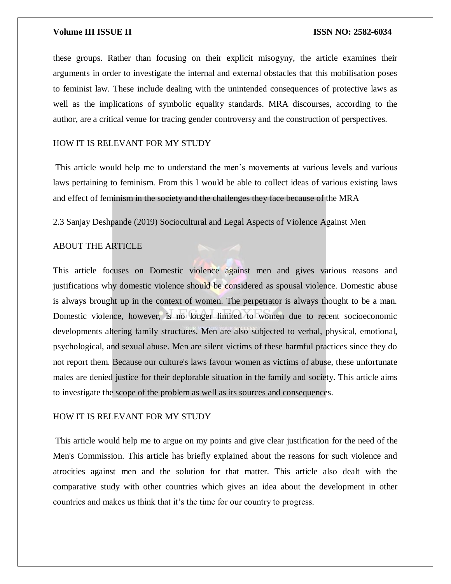these groups. Rather than focusing on their explicit misogyny, the article examines their arguments in order to investigate the internal and external obstacles that this mobilisation poses to feminist law. These include dealing with the unintended consequences of protective laws as well as the implications of symbolic equality standards. MRA discourses, according to the author, are a critical venue for tracing gender controversy and the construction of perspectives.

# HOW IT IS RELEVANT FOR MY STUDY

This article would help me to understand the men's movements at various levels and various laws pertaining to feminism. From this I would be able to collect ideas of various existing laws and effect of feminism in the society and the challenges they face because of the MRA

2.3 Sanjay Deshpande (2019) Sociocultural and Legal Aspects of Violence Against Men

## ABOUT THE ARTICLE

This article focuses on Domestic violence against men and gives various reasons and justifications why domestic violence should be considered as spousal violence. Domestic abuse is always brought up in the context of women. The perpetrator is always thought to be a man. Domestic violence, however, is no longer limited to women due to recent socioeconomic developments altering family structures. Men are also subjected to verbal, physical, emotional, psychological, and sexual abuse. Men are silent victims of these harmful practices since they do not report them. Because our culture's laws favour women as victims of abuse, these unfortunate males are denied justice for their deplorable situation in the family and society. This article aims to investigate the scope of the problem as well as its sources and consequences.

# HOW IT IS RELEVANT FOR MY STUDY

This article would help me to argue on my points and give clear justification for the need of the Men's Commission. This article has briefly explained about the reasons for such violence and atrocities against men and the solution for that matter. This article also dealt with the comparative study with other countries which gives an idea about the development in other countries and makes us think that it's the time for our country to progress.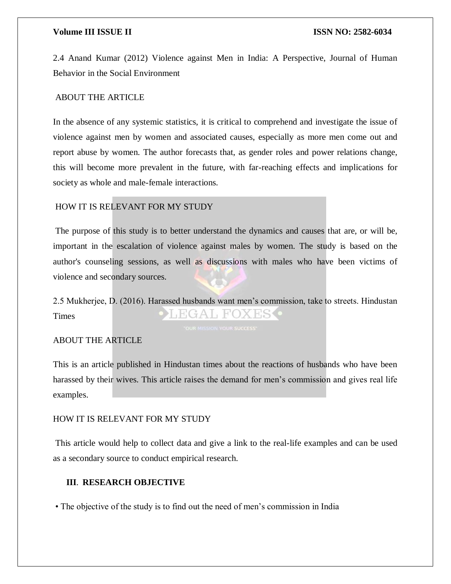2.4 Anand Kumar (2012) Violence against Men in India: A Perspective, Journal of Human Behavior in the Social Environment

# ABOUT THE ARTICLE

In the absence of any systemic statistics, it is critical to comprehend and investigate the issue of violence against men by women and associated causes, especially as more men come out and report abuse by women. The author forecasts that, as gender roles and power relations change, this will become more prevalent in the future, with far-reaching effects and implications for society as whole and male-female interactions.

# HOW IT IS RELEVANT FOR MY STUDY

The purpose of this study is to better understand the dynamics and causes that are, or will be, important in the escalation of violence against males by women. The study is based on the author's counseling sessions, as well as discussions with males who have been victims of violence and secondary sources.

2.5 Mukherjee, D. (2016). Harassed husbands want men's commission, take to streets. Hindustan EGAL FOX Times

# ABOUT THE ARTICLE

This is an article published in Hindustan times about the reactions of husbands who have been harassed by their wives. This article raises the demand for men's commission and gives real life examples.

# HOW IT IS RELEVANT FOR MY STUDY

This article would help to collect data and give a link to the real-life examples and can be used as a secondary source to conduct empirical research.

# **III**. **RESEARCH OBJECTIVE**

• The objective of the study is to find out the need of men's commission in India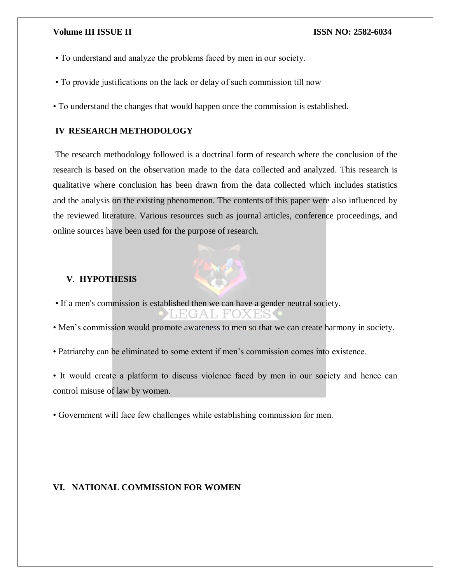- To understand and analyze the problems faced by men in our society.
- To provide justifications on the lack or delay of such commission till now
- To understand the changes that would happen once the commission is established.

# **IV RESEARCH METHODOLOGY**

The research methodology followed is a doctrinal form of research where the conclusion of the research is based on the observation made to the data collected and analyzed. This research is qualitative where conclusion has been drawn from the data collected which includes statistics and the analysis on the existing phenomenon. The contents of this paper were also influenced by the reviewed literature. Various resources such as journal articles, conference proceedings, and online sources have been used for the purpose of research.



# **V**. **HYPOTHESIS**

• If a men's commission is established then we can have a gender neutral society.

 $GAI$ ,  $FO$ 

- Men's commission would promote awareness to men so that we can create harmony in society.
- Patriarchy can be eliminated to some extent if men's commission comes into existence.
- It would create a platform to discuss violence faced by men in our society and hence can control misuse of law by women.
- Government will face few challenges while establishing commission for men.

# **VI. NATIONAL COMMISSION FOR WOMEN**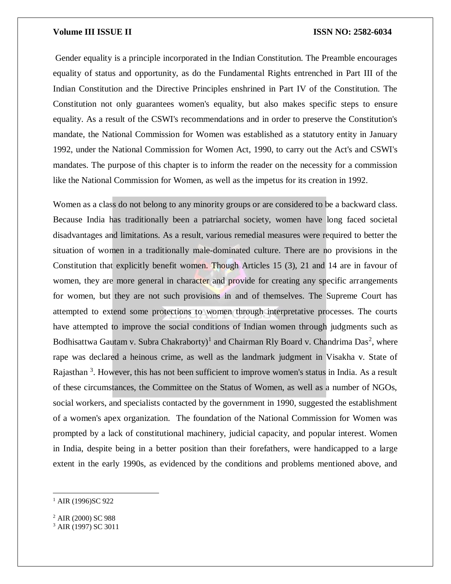Gender equality is a principle incorporated in the Indian Constitution. The Preamble encourages equality of status and opportunity, as do the Fundamental Rights entrenched in Part III of the Indian Constitution and the Directive Principles enshrined in Part IV of the Constitution. The Constitution not only guarantees women's equality, but also makes specific steps to ensure equality. As a result of the CSWI's recommendations and in order to preserve the Constitution's mandate, the National Commission for Women was established as a statutory entity in January 1992, under the National Commission for Women Act, 1990, to carry out the Act's and CSWI's mandates. The purpose of this chapter is to inform the reader on the necessity for a commission like the National Commission for Women, as well as the impetus for its creation in 1992.

Women as a class do not belong to any minority groups or are considered to be a backward class. Because India has traditionally been a patriarchal society, women have long faced societal disadvantages and limitations. As a result, various remedial measures were required to better the situation of women in a traditionally male-dominated culture. There are no provisions in the Constitution that explicitly benefit women. Though Articles 15 (3), 21 and 14 are in favour of women, they are more general in character and provide for creating any specific arrangements for women, but they are not such provisions in and of themselves. The Supreme Court has attempted to extend some protections to women through interpretative processes. The courts have attempted to improve the social conditions of Indian women through judgments such as Bodhisattwa Gautam v. Subra Chakraborty)<sup>1</sup> and Chairman Rly Board v. Chandrima Das<sup>2</sup>, where rape was declared a heinous crime, as well as the landmark judgment in Visakha v. State of Rajasthan <sup>3</sup>. However, this has not been sufficient to improve women's status in India. As a result of these circumstances, the Committee on the Status of Women, as well as a number of NGOs, social workers, and specialists contacted by the government in 1990, suggested the establishment of a women's apex organization. The foundation of the National Commission for Women was prompted by a lack of constitutional machinery, judicial capacity, and popular interest. Women in India, despite being in a better position than their forefathers, were handicapped to a large extent in the early 1990s, as evidenced by the conditions and problems mentioned above, and

 $\overline{a}$ 

 $1$  AIR (1996)SC 922

<sup>2</sup> AIR (2000) SC 988

<sup>3</sup> AIR (1997) SC 3011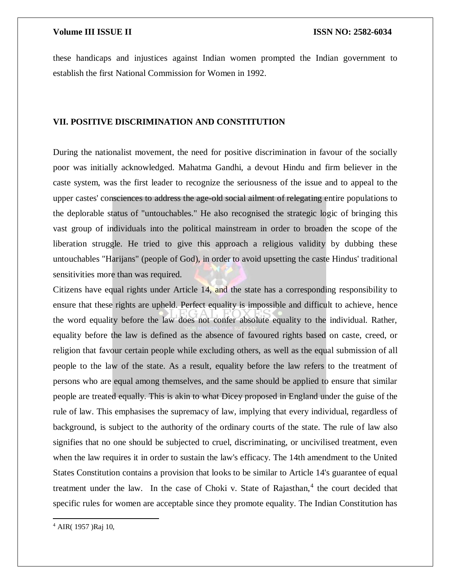these handicaps and injustices against Indian women prompted the Indian government to establish the first National Commission for Women in 1992.

# **VII. POSITIVE DISCRIMINATION AND CONSTITUTION**

During the nationalist movement, the need for positive discrimination in favour of the socially poor was initially acknowledged. Mahatma Gandhi, a devout Hindu and firm believer in the caste system, was the first leader to recognize the seriousness of the issue and to appeal to the upper castes' consciences to address the age-old social ailment of relegating entire populations to the deplorable status of "untouchables." He also recognised the strategic logic of bringing this vast group of individuals into the political mainstream in order to broaden the scope of the liberation struggle. He tried to give this approach a religious validity by dubbing these untouchables "Harijans" (people of God), in order to avoid upsetting the caste Hindus' traditional sensitivities more than was required.

Citizens have equal rights under Article 14, and the state has a corresponding responsibility to ensure that these rights are upheld. Perfect equality is impossible and difficult to achieve, hence the word equality before the law does not confer absolute equality to the individual. Rather, equality before the law is defined as the absence of favoured rights based on caste, creed, or religion that favour certain people while excluding others, as well as the equal submission of all people to the law of the state. As a result, equality before the law refers to the treatment of persons who are equal among themselves, and the same should be applied to ensure that similar people are treated equally. This is akin to what Dicey proposed in England under the guise of the rule of law. This emphasises the supremacy of law, implying that every individual, regardless of background, is subject to the authority of the ordinary courts of the state. The rule of law also signifies that no one should be subjected to cruel, discriminating, or uncivilised treatment, even when the law requires it in order to sustain the law's efficacy. The 14th amendment to the United States Constitution contains a provision that looks to be similar to Article 14's guarantee of equal treatment under the law. In the case of Choki v. State of Rajasthan,<sup>4</sup> the court decided that specific rules for women are acceptable since they promote equality. The Indian Constitution has

 $\overline{a}$ 

<sup>4</sup> AIR( 1957 )Raj 10,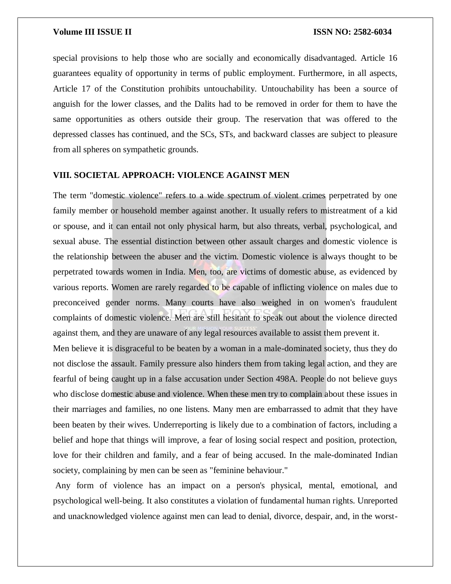special provisions to help those who are socially and economically disadvantaged. Article 16 guarantees equality of opportunity in terms of public employment. Furthermore, in all aspects, Article 17 of the Constitution prohibits untouchability. Untouchability has been a source of anguish for the lower classes, and the Dalits had to be removed in order for them to have the same opportunities as others outside their group. The reservation that was offered to the depressed classes has continued, and the SCs, STs, and backward classes are subject to pleasure from all spheres on sympathetic grounds.

# **VIII. SOCIETAL APPROACH: VIOLENCE AGAINST MEN**

The term "domestic violence" refers to a wide spectrum of violent crimes perpetrated by one family member or household member against another. It usually refers to mistreatment of a kid or spouse, and it can entail not only physical harm, but also threats, verbal, psychological, and sexual abuse. The essential distinction between other assault charges and domestic violence is the relationship between the abuser and the victim. Domestic violence is always thought to be perpetrated towards women in India. Men, too, are victims of domestic abuse, as evidenced by various reports. Women are rarely regarded to be capable of inflicting violence on males due to preconceived gender norms. Many courts have also weighed in on women's fraudulent complaints of domestic violence. Men are still hesitant to speak out about the violence directed against them, and they are unaware of any legal resources available to assist them prevent it.

Men believe it is disgraceful to be beaten by a woman in a male-dominated society, thus they do not disclose the assault. Family pressure also hinders them from taking legal action, and they are fearful of being caught up in a false accusation under Section 498A. People do not believe guys who disclose domestic abuse and violence. When these men try to complain about these issues in their marriages and families, no one listens. Many men are embarrassed to admit that they have been beaten by their wives. Underreporting is likely due to a combination of factors, including a belief and hope that things will improve, a fear of losing social respect and position, protection, love for their children and family, and a fear of being accused. In the male-dominated Indian society, complaining by men can be seen as "feminine behaviour."

Any form of violence has an impact on a person's physical, mental, emotional, and psychological well-being. It also constitutes a violation of fundamental human rights. Unreported and unacknowledged violence against men can lead to denial, divorce, despair, and, in the worst-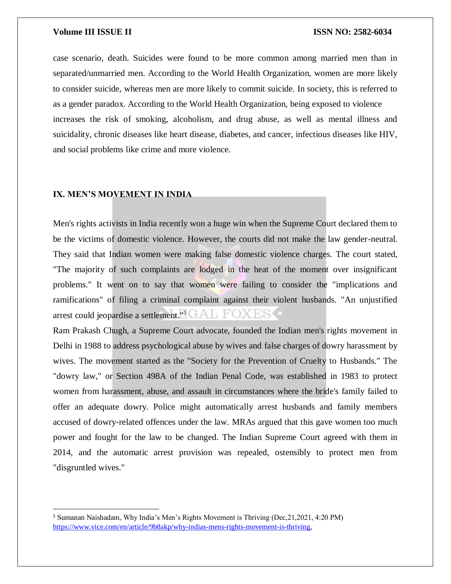case scenario, death. Suicides were found to be more common among married men than in separated/unmarried men. According to the World Health Organization, women are more likely to consider suicide, whereas men are more likely to commit suicide. In society, this is referred to as a gender paradox. According to the World Health Organization, being exposed to violence increases the risk of smoking, alcoholism, and drug abuse, as well as mental illness and suicidality, chronic diseases like heart disease, diabetes, and cancer, infectious diseases like HIV, and social problems like crime and more violence.

### **IX. MEN'S MOVEMENT IN INDIA**

 $\overline{\phantom{a}}$ 

Men's rights activists in India recently won a huge win when the Supreme Court declared them to be the victims of domestic violence. However, the courts did not make the law gender-neutral. They said that Indian women were making false domestic violence charges. The court stated, "The majority of such complaints are lodged in the heat of the moment over insignificant problems." It went on to say that women were failing to consider the "implications and ramifications" of filing a criminal complaint against their violent husbands. "An unjustified arrest could jeopardise a settlement."<sup>5</sup>

Ram Prakash Chugh, a Supreme Court advocate, founded the Indian men's rights movement in Delhi in 1988 to address psychological abuse by wives and false charges of dowry harassment by wives. The movement started as the "Society for the Prevention of Cruelty to Husbands." The "dowry law," or Section 498A of the Indian Penal Code, was established in 1983 to protect women from harassment, abuse, and assault in circumstances where the bride's family failed to offer an adequate dowry. Police might automatically arrest husbands and family members accused of dowry-related offences under the law. MRAs argued that this gave women too much power and fought for the law to be changed. The Indian Supreme Court agreed with them in 2014, and the automatic arrest provision was repealed, ostensibly to protect men from "disgruntled wives."

<sup>5</sup> Sumanan Naishadam, Why India's Men's Rights Movement is Thriving (Dec,21,2021, 4:20 PM) <https://www.vice.com/en/article/9b8akp/why-indias-mens-rights-movement-is-thriving>,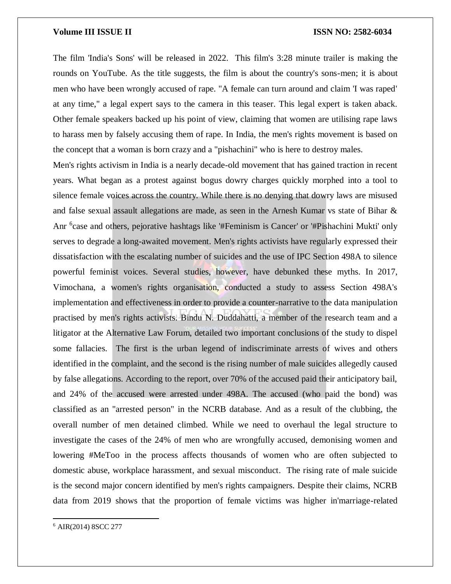The film 'India's Sons' will be released in 2022. This film's 3:28 minute trailer is making the rounds on YouTube. As the title suggests, the film is about the country's sons-men; it is about men who have been wrongly accused of rape. "A female can turn around and claim 'I was raped' at any time," a legal expert says to the camera in this teaser. This legal expert is taken aback. Other female speakers backed up his point of view, claiming that women are utilising rape laws to harass men by falsely accusing them of rape. In India, the men's rights movement is based on the concept that a woman is born crazy and a "pishachini" who is here to destroy males.

Men's rights activism in India is a nearly decade-old movement that has gained traction in recent years. What began as a protest against bogus dowry charges quickly morphed into a tool to silence female voices across the country. While there is no denying that dowry laws are misused and false sexual assault allegations are made, as seen in the Arnesh Kumar vs state of Bihar & Anr <sup>6</sup>case and others, pejorative hashtags like '#Feminism is Cancer' or '#Pishachini Mukti' only serves to degrade a long-awaited movement. Men's rights activists have regularly expressed their dissatisfaction with the escalating number of suicides and the use of IPC Section 498A to silence powerful feminist voices. Several studies, however, have debunked these myths. In 2017, Vimochana, a women's rights organisation, conducted a study to assess Section 498A's implementation and effectiveness in order to provide a counter-narrative to the data manipulation practised by men's rights activists. Bindu N. Duddahatti, a member of the research team and a litigator at the Alternative Law Forum, detailed two important conclusions of the study to dispel some fallacies. The first is the urban legend of indiscriminate arrests of wives and others identified in the complaint, and the second is the rising number of male suicides allegedly caused by false allegations. According to the report, over 70% of the accused paid their anticipatory bail, and 24% of the accused were arrested under 498A. The accused (who paid the bond) was classified as an "arrested person" in the NCRB database. And as a result of the clubbing, the overall number of men detained climbed. While we need to overhaul the legal structure to investigate the cases of the 24% of men who are wrongfully accused, demonising women and lowering #MeToo in the process affects thousands of women who are often subjected to domestic abuse, workplace harassment, and sexual misconduct. The rising rate of male suicide is the second major concern identified by men's rights campaigners. Despite their claims, NCRB data from 2019 shows that the proportion of female victims was higher in'marriage-related

 $\overline{a}$ 

<sup>6</sup> AIR(2014) 8SCC 277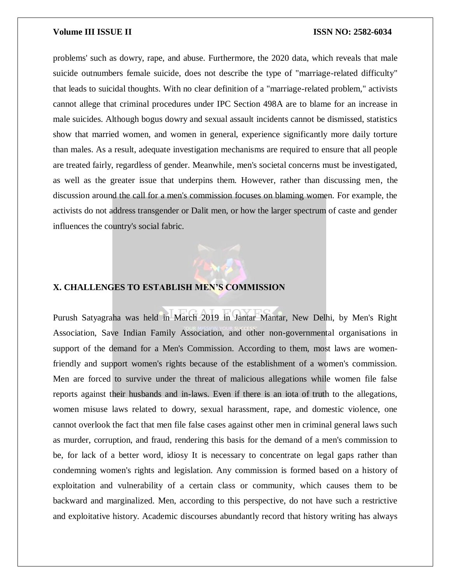problems' such as dowry, rape, and abuse. Furthermore, the 2020 data, which reveals that male suicide outnumbers female suicide, does not describe the type of "marriage-related difficulty" that leads to suicidal thoughts. With no clear definition of a "marriage-related problem," activists cannot allege that criminal procedures under IPC Section 498A are to blame for an increase in male suicides. Although bogus dowry and sexual assault incidents cannot be dismissed, statistics show that married women, and women in general, experience significantly more daily torture than males. As a result, adequate investigation mechanisms are required to ensure that all people are treated fairly, regardless of gender. Meanwhile, men's societal concerns must be investigated, as well as the greater issue that underpins them. However, rather than discussing men, the discussion around the call for a men's commission focuses on blaming women. For example, the activists do not address transgender or Dalit men, or how the larger spectrum of caste and gender influences the country's social fabric.



# **X. CHALLENGES TO ESTABLISH MEN'S COMMISSION**

Purush Satyagraha was held in March 2019 in Jantar Mantar, New Delhi, by Men's Right Association, Save Indian Family Association, and other non-governmental organisations in support of the demand for a Men's Commission. According to them, most laws are womenfriendly and support women's rights because of the establishment of a women's commission. Men are forced to survive under the threat of malicious allegations while women file false reports against their husbands and in-laws. Even if there is an iota of truth to the allegations, women misuse laws related to dowry, sexual harassment, rape, and domestic violence, one cannot overlook the fact that men file false cases against other men in criminal general laws such as murder, corruption, and fraud, rendering this basis for the demand of a men's commission to be, for lack of a better word, idiosy It is necessary to concentrate on legal gaps rather than condemning women's rights and legislation. Any commission is formed based on a history of exploitation and vulnerability of a certain class or community, which causes them to be backward and marginalized. Men, according to this perspective, do not have such a restrictive and exploitative history. Academic discourses abundantly record that history writing has always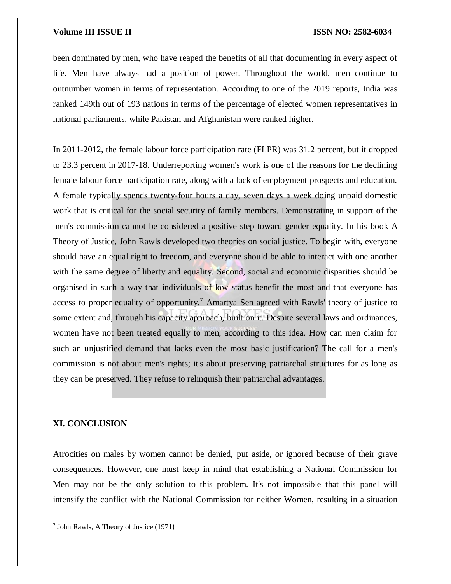been dominated by men, who have reaped the benefits of all that documenting in every aspect of life. Men have always had a position of power. Throughout the world, men continue to outnumber women in terms of representation. According to one of the 2019 reports, India was ranked 149th out of 193 nations in terms of the percentage of elected women representatives in national parliaments, while Pakistan and Afghanistan were ranked higher.

In 2011-2012, the female labour force participation rate (FLPR) was 31.2 percent, but it dropped to 23.3 percent in 2017-18. Underreporting women's work is one of the reasons for the declining female labour force participation rate, along with a lack of employment prospects and education. A female typically spends twenty-four hours a day, seven days a week doing unpaid domestic work that is critical for the social security of family members. Demonstrating in support of the men's commission cannot be considered a positive step toward gender equality. In his book A Theory of Justice, John Rawls developed two theories on social justice. To begin with, everyone should have an equal right to freedom, and everyone should be able to interact with one another with the same degree of liberty and equality. Second, social and economic disparities should be organised in such a way that individuals of low status benefit the most and that everyone has access to proper equality of opportunity.<sup>7</sup> Amartya Sen agreed with Rawls' theory of justice to some extent and, through his capacity approach, built on it. Despite several laws and ordinances, women have not been treated equally to men, according to this idea. How can men claim for such an unjustified demand that lacks even the most basic justification? The call for a men's commission is not about men's rights; it's about preserving patriarchal structures for as long as they can be preserved. They refuse to relinquish their patriarchal advantages.

# **XI. CONCLUSION**

 $\overline{a}$ 

Atrocities on males by women cannot be denied, put aside, or ignored because of their grave consequences. However, one must keep in mind that establishing a National Commission for Men may not be the only solution to this problem. It's not impossible that this panel will intensify the conflict with the National Commission for neither Women, resulting in a situation

<sup>7</sup> John Rawls, A Theory of Justice (1971)